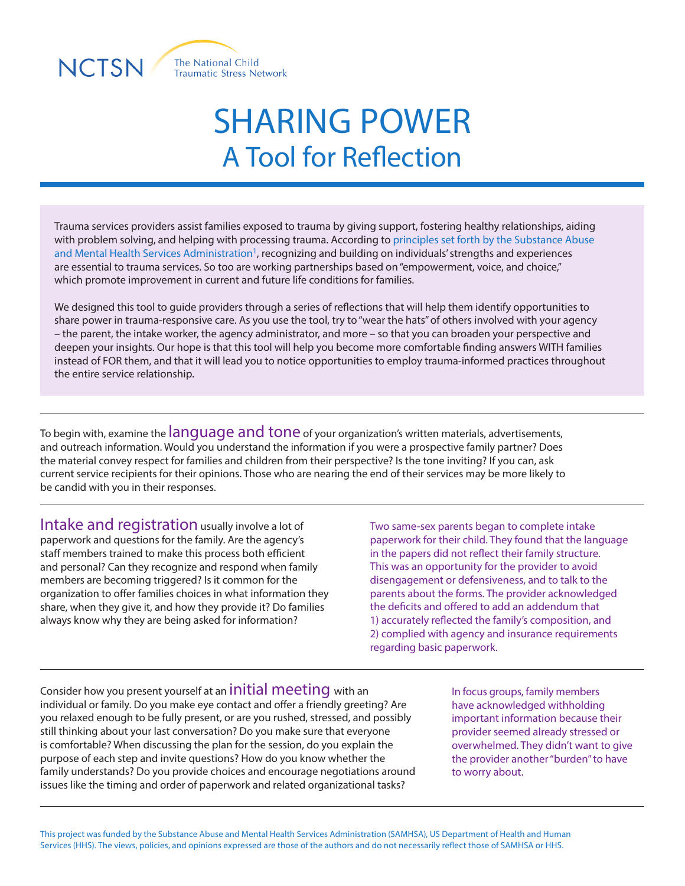

## SHARING POWER A Tool for Reflection

Trauma services providers assist families exposed to trauma by giving support, fostering healthy relationships, aiding with problem solving, and helping with processing trauma. According to principles set forth by the Substance Abuse and Mental Health Services Administration<sup>1</sup>, recognizing and building on individuals' strengths and experiences are essential to trauma services. So too are working partnerships based on "empowerment, voice, and choice," which promote improvement in current and future life conditions for families.

We designed this tool to guide providers through a series of reflections that will help them identify opportunities to share power in trauma-responsive care. As you use the tool, try to "wear the hats" of others involved with your agency – the parent, the intake worker, the agency administrator, and more – so that you can broaden your perspective and deepen your insights. Our hope is that this tool will help you become more comfortable finding answers WITH families instead of FOR them, and that it will lead you to notice opportunities to employ trauma-informed practices throughout the entire service relationship.

To begin with, examine the **language and tone** of your organization's written materials, advertisements, and outreach information. Would you understand the information if you were a prospective family partner? Does the material convey respect for families and children from their perspective? Is the tone inviting? If you can, ask current service recipients for their opinions. Those who are nearing the end of their services may be more likely to be candid with you in their responses.

Intake and registration usually involve a lot of paperwork and questions for the family. Are the agency's staff members trained to make this process both efficient and personal? Can they recognize and respond when family members are becoming triggered? Is it common for the organization to offer families choices in what information they share, when they give it, and how they provide it? Do families always know why they are being asked for information?

Two same-sex parents began to complete intake paperwork for their child. They found that the language in the papers did not reflect their family structure. This was an opportunity for the provider to avoid disengagement or defensiveness, and to talk to the parents about the forms. The provider acknowledged the deficits and offered to add an addendum that 1) accurately reflected the family's composition, and 2) complied with agency and insurance requirements regarding basic paperwork.

Consider how you present yourself at an **initial meeting** with an individual or family. Do you make eye contact and offer a friendly greeting? Are you relaxed enough to be fully present, or are you rushed, stressed, and possibly still thinking about your last conversation? Do you make sure that everyone is comfortable? When discussing the plan for the session, do you explain the purpose of each step and invite questions? How do you know whether the family understands? Do you provide choices and encourage negotiations around issues like the timing and order of paperwork and related organizational tasks?

In focus groups, family members have acknowledged withholding important information because their provider seemed already stressed or overwhelmed. They didn't want to give the provider another "burden" to have to worry about.